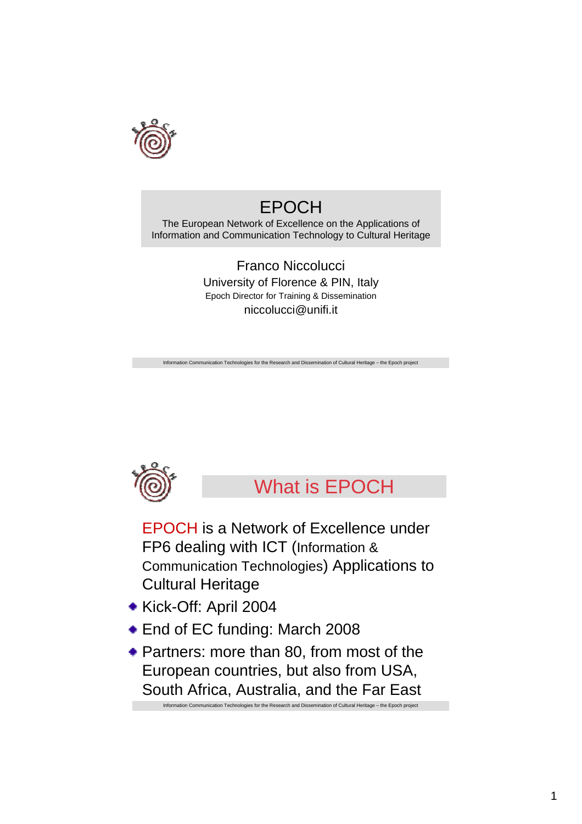

## EPOCH

The European Network of Excellence on the Applications of Information and Communication Technology to Cultural Heritage

> Franco Niccolucci University of Florence & PIN, Italy Epoch Director for Training & Dissemination niccolucci@unifi.it

tion Communication Technologies for the Research and Dissemination of Cultural Heritage – the Epoch project



What is EPOCH

EPOCH is a Network of Excellence under FP6 dealing with ICT (Information & Communication Technologies) Applications to Cultural Heritage

- Kick-Off: April 2004
- ◆ End of EC funding: March 2008

Information Communication Technologies for the Research and Dissemination of Cultural Heritage – the Epoch project Partners: more than 80, from most of the European countries, but also from USA, South Africa, Australia, and the Far East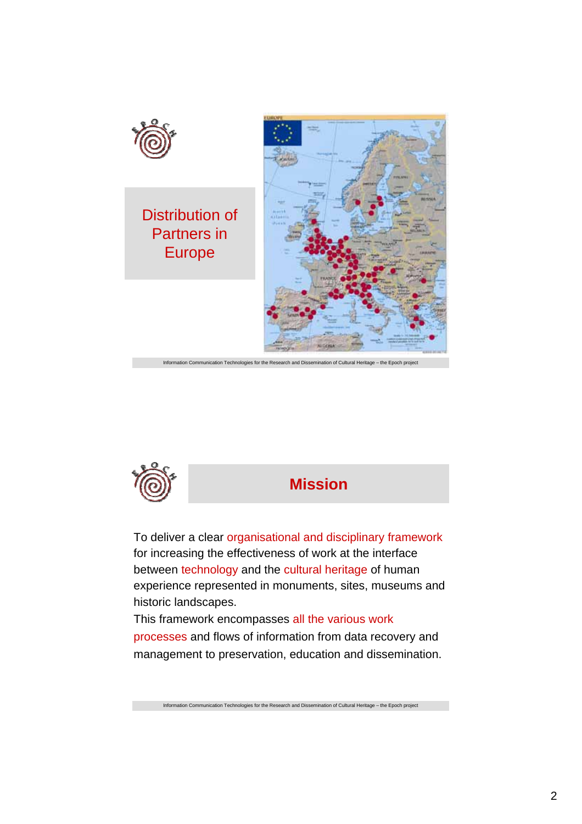



**Mission**

To deliver a clear organisational and disciplinary framework for increasing the effectiveness of work at the interface between technology and the cultural heritage of human experience represented in monuments, sites, museums and historic landscapes.

This framework encompasses all the various work processes and flows of information from data recovery and management to preservation, education and dissemination.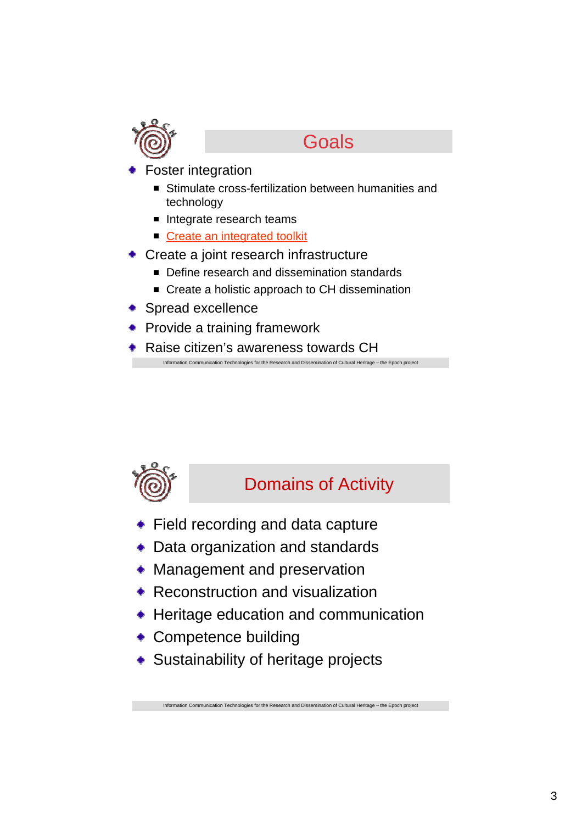

### **Goals**

- Foster integration
	- Stimulate cross-fertilization between humanities and technology
	- Integrate research teams
	- Create an integrated toolkit
- Create a joint research infrastructure
	- Define research and dissemination standards
	- Create a holistic approach to CH dissemination
- ◆ Spread excellence
- Provide a training framework
- ◆ Raise citizen's awareness towards CH

tion Communication Technologies for the Research and Dissemination of Cultural Heritage – the Epoch project



### Domains of Activity

- **Field recording and data capture**
- Data organization and standards
- Management and preservation
- Reconstruction and visualization
- Heritage education and communication

- Competence building
- Sustainability of heritage projects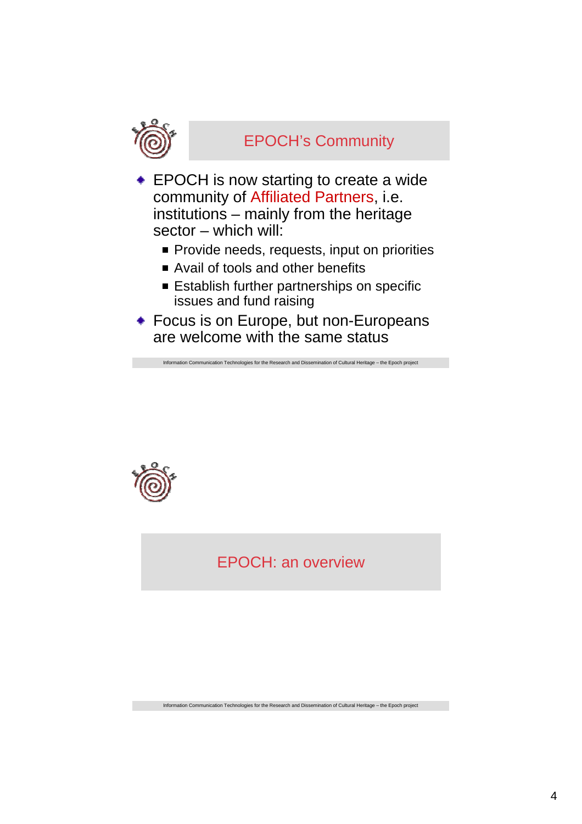

#### EPOCH's Community

- **EPOCH** is now starting to create a wide community of Affiliated Partners, i.e. institutions – mainly from the heritage sector – which will:
	- **Provide needs, requests, input on priorities**
	- Avail of tools and other benefits
	- **Establish further partnerships on specific** issues and fund raising
- Focus is on Europe, but non-Europeans are welcome with the same status

ation Communication Technologies for the Research and Dissemination of Cultural Heritage – the Epoch project



#### EPOCH: an overview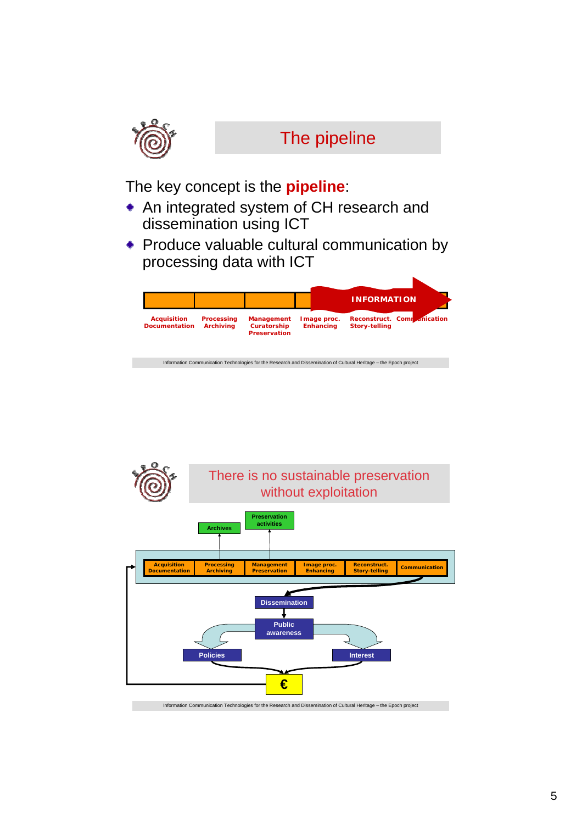

# The pipeline

The key concept is the **pipeline**:

- An integrated system of CH research and dissemination using ICT
- Produce valuable cultural communication by processing data with ICT

|                                            |                                       |                                                         | <b>INFORMATION</b>               |                                                                                                                    |  |
|--------------------------------------------|---------------------------------------|---------------------------------------------------------|----------------------------------|--------------------------------------------------------------------------------------------------------------------|--|
| <b>Acquisition</b><br><b>Documentation</b> | <b>Processing</b><br><b>Archiving</b> | <b>Management</b><br>Curatorship<br><b>Preservation</b> | I mage proc.<br><b>Enhancing</b> | Reconstruct. Commanication<br><b>Story-telling</b>                                                                 |  |
|                                            |                                       |                                                         |                                  | Information Communication Technologies for the Research and Dissemination of Cultural Heritage - the Epoch project |  |

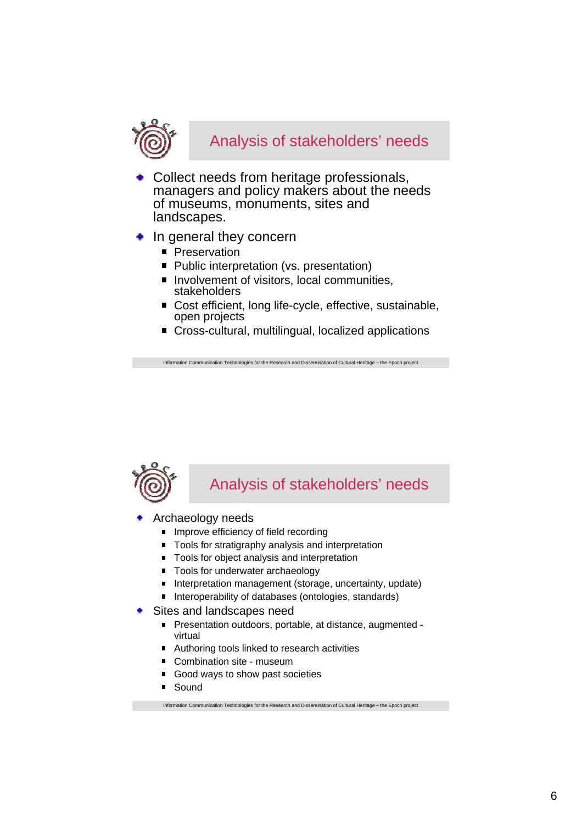

- Collect needs from heritage professionals, managers and policy makers about the needs of museums, monuments, sites and landscapes.
- $\bullet$  In general they concern
	- **Preservation**
	- Public interpretation (vs. presentation)
	- $\blacksquare$  Involvement of visitors, local communities, stakeholders
	- Cost efficient, long life-cycle, effective, sustainable, open projects
	- Cross-cultural, multilingual, localized applications

tion Communication Technologies for the Research and Dissemination of Cultural Heritage – the Epoch project



#### Analysis of stakeholders' needs

- Archaeology needs
	- **Improve efficiency of field recording**
	- Tools for stratigraphy analysis and interpretation
	- Tools for object analysis and interpretation
	- Tools for underwater archaeology
	- Interpretation management (storage, uncertainty, update)
	- Interoperability of databases (ontologies, standards)
- Sites and landscapes need
	- Presentation outdoors, portable, at distance, augmented virtual
	- Authoring tools linked to research activities
	- Combination site museum
	- Good ways to show past societies
	- **Sound**

Information Communication Technologies for the Research and Dissemination of Cultural Heritage – the Epoch project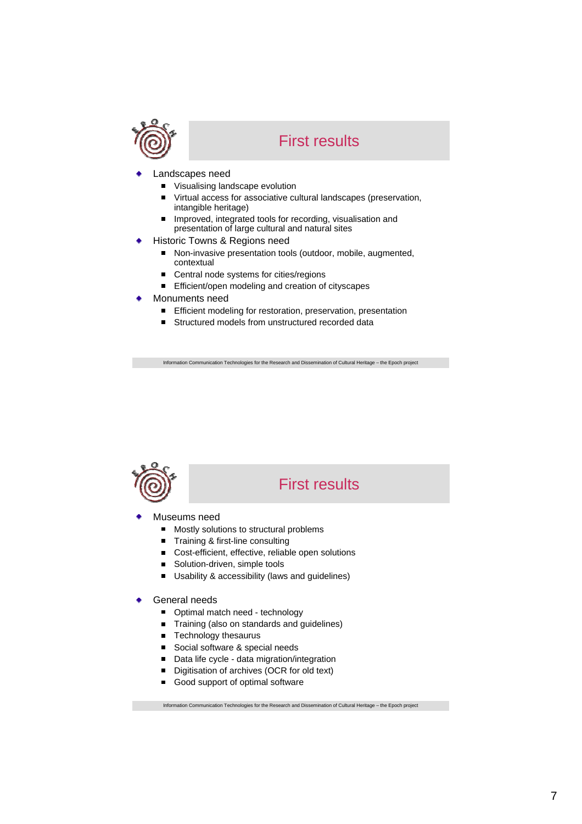

#### First results

- Landscapes need
	- $\blacksquare$ Visualising landscape evolution
	- Virtual access for associative cultural landscapes (preservation,  $\blacksquare$ intangible heritage)
	- $\blacksquare$ Improved, integrated tools for recording, visualisation and presentation of large cultural and natural sites
- Historic Towns & Regions need
	- Non-invasive presentation tools (outdoor, mobile, augmented,  $\blacksquare$ contextual
	- $\blacksquare$ Central node systems for cities/regions
	- Efficient/open modeling and creation of cityscapes
- Monuments need
	- Efficient modeling for restoration, preservation, presentation  $\blacksquare$
	- Structured models from unstructured recorded data  $\blacksquare$

Information Communication Technologies for the Research and Dissemination of Cultural Heritage – the Epoch project



#### First results

- Museums need
	- Mostly solutions to structural problems  $\blacksquare$
	- Training & first-line consulting  $\blacksquare$
	- Cost-efficient, effective, reliable open solutions
	- Solution-driven, simple tools  $\blacksquare$
	- Usability & accessibility (laws and guidelines)  $\blacksquare$
- General needs
	- Optimal match need technology
	- $\blacksquare$ Training (also on standards and guidelines)
	- Technology thesaurus
	- Social software & special needs
	- Data life cycle data migration/integration  $\blacksquare$
	- Digitisation of archives (OCR for old text)  $\blacksquare$
	- Good support of optimal software  $\blacksquare$

Information Communication Technologies for the Research and Dissemination of Cultural Heritage – the Epoch project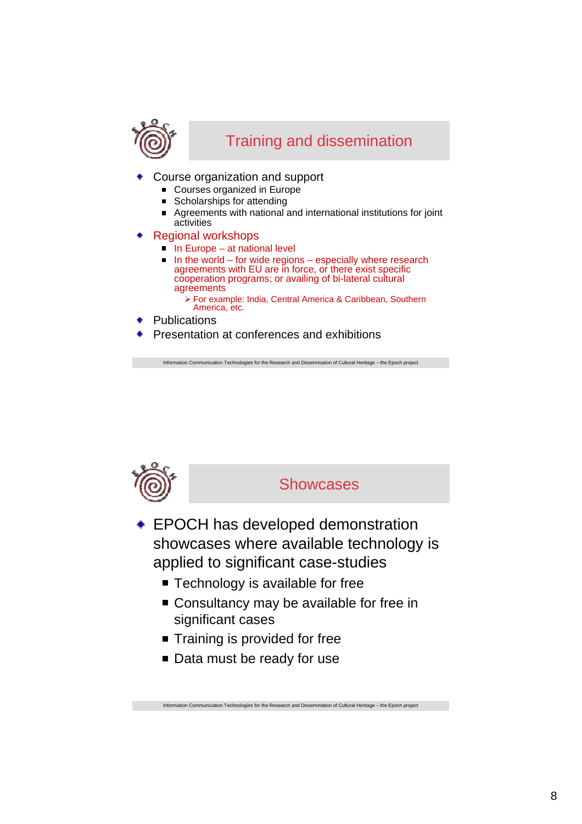

#### Training and dissemination

- Course organization and support
	- Courses organized in Europe
	- Scholarships for attending
	- Agreements with national and international institutions for joint  $\blacksquare$ activities
- Regional workshops
	- $\blacksquare$  In Europe at national level
	- In the world for wide regions especially where research agreements with EU are in force, or there exist specific cooperation programs; or availing of bi-lateral cultural agreements
		- ¾ For example: India, Central America & Caribbean, Southern America, etc.
- **Publications**
- Presentation at conferences and exhibitions

Information Communication Technologies for the Research and Dissemination of Cultural Heritage – the Epoch project



#### **Showcases**

- EPOCH has developed demonstration showcases where available technology is applied to significant case-studies
	- Technology is available for free
	- Consultancy may be available for free in significant cases

- Training is provided for free
- Data must be ready for use